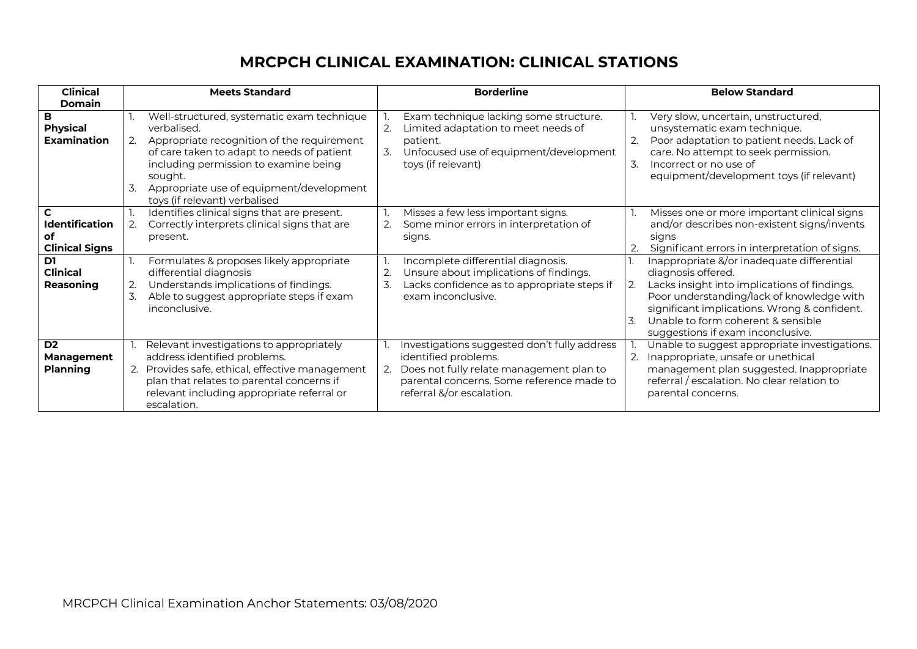### **MRCPCH CLINICAL EXAMINATION: CLINICAL STATIONS**

| <b>Clinical</b><br>Domain                            | <b>Meets Standard</b>                                                                                                                                                                                                                                                                              | <b>Borderline</b>                                                                                                                                                                          | <b>Below Standard</b>                                                                                                                                                                                                                                                                                              |
|------------------------------------------------------|----------------------------------------------------------------------------------------------------------------------------------------------------------------------------------------------------------------------------------------------------------------------------------------------------|--------------------------------------------------------------------------------------------------------------------------------------------------------------------------------------------|--------------------------------------------------------------------------------------------------------------------------------------------------------------------------------------------------------------------------------------------------------------------------------------------------------------------|
| в<br><b>Physical</b><br><b>Examination</b>           | Well-structured, systematic exam technique<br>verbalised.<br>Appropriate recognition of the requirement<br>2.<br>of care taken to adapt to needs of patient<br>including permission to examine being<br>sought.<br>3.<br>Appropriate use of equipment/development<br>toys (if relevant) verbalised | Exam technique lacking some structure.<br>Limited adaptation to meet needs of<br>2.<br>patient.<br>3.<br>Unfocused use of equipment/development<br>toys (if relevant)                      | Very slow, uncertain, unstructured,<br>unsystematic exam technique.<br>Poor adaptation to patient needs. Lack of<br>2.<br>care. No attempt to seek permission.<br>3.<br>Incorrect or no use of<br>equipment/development toys (if relevant)                                                                         |
| <b>Identification</b><br>оf<br><b>Clinical Signs</b> | Identifies clinical signs that are present.<br>Correctly interprets clinical signs that are<br>2.<br>present.                                                                                                                                                                                      | Misses a few less important signs.<br>Some minor errors in interpretation of<br>signs.                                                                                                     | Misses one or more important clinical signs<br>and/or describes non-existent signs/invents<br>signs<br>Significant errors in interpretation of signs.<br>2.                                                                                                                                                        |
| D1<br><b>Clinical</b><br>Reasoning                   | Formulates & proposes likely appropriate<br>differential diagnosis<br>Understands implications of findings.<br>2.<br>3.<br>Able to suggest appropriate steps if exam<br>inconclusive.                                                                                                              | Incomplete differential diagnosis.<br>Unsure about implications of findings.<br>2.<br>3.<br>Lacks confidence as to appropriate steps if<br>exam inconclusive.                              | Inappropriate &/or inadequate differential<br>diagnosis offered.<br>Lacks insight into implications of findings.<br>$\overline{2}$ .<br>Poor understanding/lack of knowledge with<br>significant implications. Wrong & confident.<br>Unable to form coherent & sensible<br>3.<br>suggestions if exam inconclusive. |
| D <sub>2</sub><br>Management<br><b>Planning</b>      | Relevant investigations to appropriately<br>address identified problems.<br>2. Provides safe, ethical, effective management<br>plan that relates to parental concerns if<br>relevant including appropriate referral or<br>escalation.                                                              | Investigations suggested don't fully address<br>identified problems.<br>Does not fully relate management plan to<br>parental concerns. Some reference made to<br>referral &/or escalation. | Unable to suggest appropriate investigations.<br>Inappropriate, unsafe or unethical<br>2.<br>management plan suggested. Inappropriate<br>referral / escalation. No clear relation to<br>parental concerns.                                                                                                         |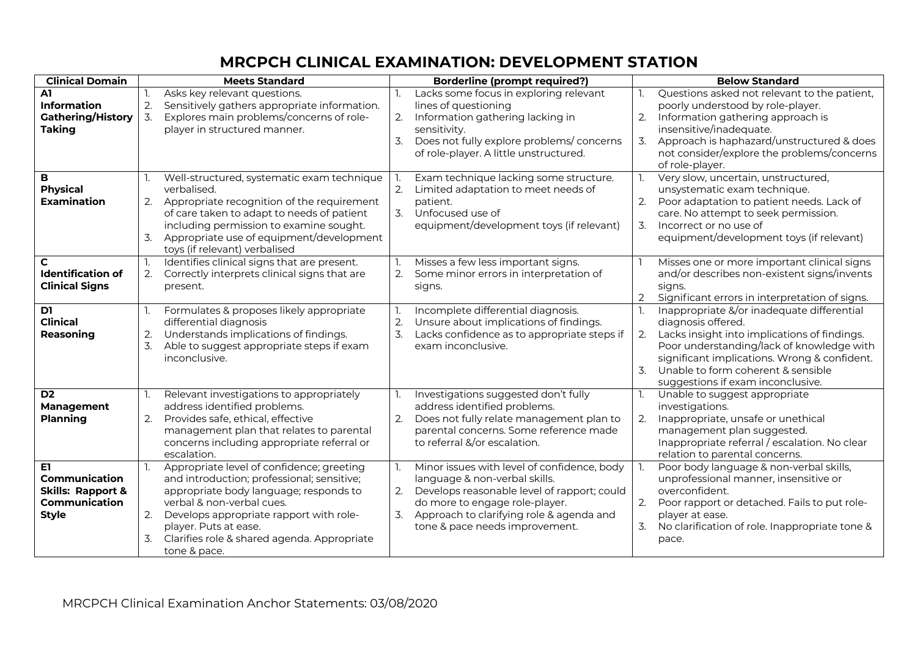# **MRCPCH CLINICAL EXAMINATION: DEVELOPMENT STATION**

| <b>Clinical Domain</b>                                                                       |                        | <b>Meets Standard</b>                                                                                                                                                                                                                                                                             |                          | <b>Borderline (prompt required?)</b>                                                                                                                                                                                                        |                  | <b>Below Standard</b>                                                                                                                                                                                                                                                                    |
|----------------------------------------------------------------------------------------------|------------------------|---------------------------------------------------------------------------------------------------------------------------------------------------------------------------------------------------------------------------------------------------------------------------------------------------|--------------------------|---------------------------------------------------------------------------------------------------------------------------------------------------------------------------------------------------------------------------------------------|------------------|------------------------------------------------------------------------------------------------------------------------------------------------------------------------------------------------------------------------------------------------------------------------------------------|
| A1<br><b>Information</b><br><b>Gathering/History</b><br><b>Taking</b>                        | 2.<br>3.               | Asks key relevant questions.<br>Sensitively gathers appropriate information.<br>Explores main problems/concerns of role-<br>player in structured manner.                                                                                                                                          | 2.<br>3.                 | Lacks some focus in exploring relevant<br>lines of questioning<br>Information gathering lacking in<br>sensitivity.<br>Does not fully explore problems/concerns<br>of role-player. A little unstructured.                                    | 2.               | Questions asked not relevant to the patient,<br>poorly understood by role-player.<br>Information gathering approach is<br>insensitive/inadequate.<br>Approach is haphazard/unstructured & does<br>not consider/explore the problems/concerns<br>of role-player.                          |
| в<br><b>Physical</b><br><b>Examination</b>                                                   | 2.<br>$\overline{3}$ . | Well-structured, systematic exam technique<br>verbalised.<br>Appropriate recognition of the requirement<br>of care taken to adapt to needs of patient<br>including permission to examine sought.<br>Appropriate use of equipment/development<br>toys (if relevant) verbalised                     | 2.<br>$\mathcal{Z}$ .    | Exam technique lacking some structure.<br>Limited adaptation to meet needs of<br>patient.<br>Unfocused use of<br>equipment/development toys (if relevant)                                                                                   | 2.<br>3.         | Very slow, uncertain, unstructured,<br>unsystematic exam technique.<br>Poor adaptation to patient needs. Lack of<br>care. No attempt to seek permission.<br>Incorrect or no use of<br>equipment/development toys (if relevant)                                                           |
| C.<br><b>Identification of</b><br><b>Clinical Signs</b>                                      | 2.                     | Identifies clinical signs that are present.<br>Correctly interprets clinical signs that are<br>present.                                                                                                                                                                                           | 2.                       | Misses a few less important signs.<br>Some minor errors in interpretation of<br>signs.                                                                                                                                                      | 2                | Misses one or more important clinical signs<br>and/or describes non-existent signs/invents<br>signs.<br>Significant errors in interpretation of signs.                                                                                                                                   |
| D1<br><b>Clinical</b><br>Reasoning                                                           | 2.<br>3.               | Formulates & proposes likely appropriate<br>differential diagnosis<br>Understands implications of findings.<br>Able to suggest appropriate steps if exam<br>inconclusive.                                                                                                                         | 1.<br>2.<br>3.           | Incomplete differential diagnosis.<br>Unsure about implications of findings.<br>Lacks confidence as to appropriate steps if<br>exam inconclusive.                                                                                           | $\overline{3}$ . | Inappropriate &/or inadequate differential<br>diagnosis offered.<br>Lacks insight into implications of findings.<br>Poor understanding/lack of knowledge with<br>significant implications. Wrong & confident.<br>Unable to form coherent & sensible<br>suggestions if exam inconclusive. |
| D <sub>2</sub><br>Management<br><b>Planning</b>                                              | 2.                     | Relevant investigations to appropriately<br>address identified problems.<br>Provides safe, ethical, effective<br>management plan that relates to parental<br>concerns including appropriate referral or<br>escalation.                                                                            | 1.<br>2.                 | Investigations suggested don't fully<br>address identified problems.<br>Does not fully relate management plan to<br>parental concerns. Some reference made<br>to referral &/or escalation.                                                  | 2.               | Unable to suggest appropriate<br>investigations.<br>Inappropriate, unsafe or unethical<br>management plan suggested.<br>Inappropriate referral / escalation. No clear<br>relation to parental concerns.                                                                                  |
| E1.<br>Communication<br><b>Skills: Rapport &amp;</b><br><b>Communication</b><br><b>Style</b> | 2.<br>3.               | Appropriate level of confidence; greeting<br>and introduction; professional; sensitive;<br>appropriate body language; responds to<br>verbal & non-verbal cues.<br>Develops appropriate rapport with role-<br>player. Puts at ease.<br>Clarifies role & shared agenda. Appropriate<br>tone & pace. | $\mathbb{L}$<br>2.<br>3. | Minor issues with level of confidence, body<br>language & non-verbal skills.<br>Develops reasonable level of rapport; could<br>do more to engage role-player.<br>Approach to clarifying role & agenda and<br>tone & pace needs improvement. | 3.               | Poor body language & non-verbal skills,<br>unprofessional manner, insensitive or<br>overconfident.<br>Poor rapport or detached. Fails to put role-<br>player at ease.<br>No clarification of role. Inappropriate tone &<br>pace.                                                         |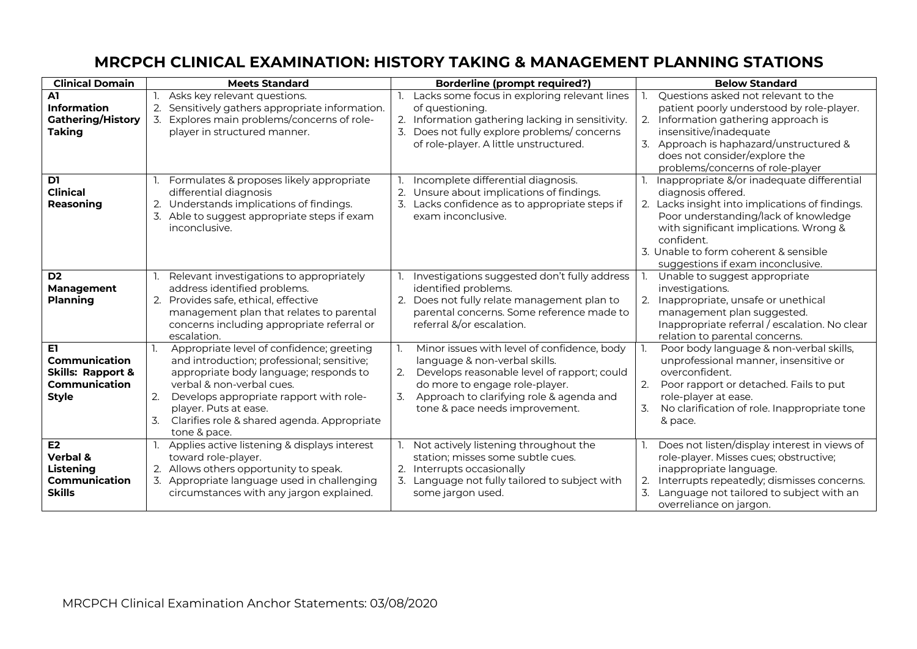### **MRCPCH CLINICAL EXAMINATION: HISTORY TAKING & MANAGEMENT PLANNING STATIONS**

| <b>Clinical Domain</b>                                                                | <b>Meets Standard</b>                                                                                                                                                                                                                                                                                               | <b>Borderline (prompt required?)</b>                                                                                                                                                                                                                          | <b>Below Standard</b>                                                                                                                                                                                                                                                                             |
|---------------------------------------------------------------------------------------|---------------------------------------------------------------------------------------------------------------------------------------------------------------------------------------------------------------------------------------------------------------------------------------------------------------------|---------------------------------------------------------------------------------------------------------------------------------------------------------------------------------------------------------------------------------------------------------------|---------------------------------------------------------------------------------------------------------------------------------------------------------------------------------------------------------------------------------------------------------------------------------------------------|
| A1<br><b>Information</b><br><b>Gathering/History</b><br><b>Taking</b>                 | Asks key relevant questions.<br>2.<br>Sensitively gathers appropriate information.<br>Explores main problems/concerns of role-<br>player in structured manner.                                                                                                                                                      | 1. Lacks some focus in exploring relevant lines<br>of questioning.<br>2. Information gathering lacking in sensitivity.<br>3. Does not fully explore problems/concerns<br>of role-player. A little unstructured.                                               | Questions asked not relevant to the<br>patient poorly understood by role-player.<br>2. Information gathering approach is<br>insensitive/inadequate<br>3. Approach is haphazard/unstructured &<br>does not consider/explore the<br>problems/concerns of role-player                                |
| D1<br><b>Clinical</b><br>Reasoning                                                    | Formulates & proposes likely appropriate<br>differential diagnosis<br>2. Understands implications of findings.<br>3. Able to suggest appropriate steps if exam<br>inconclusive.                                                                                                                                     | Incomplete differential diagnosis.<br>2.<br>Unsure about implications of findings.<br>3. Lacks confidence as to appropriate steps if<br>exam inconclusive.                                                                                                    | Inappropriate &/or inadequate differential<br>diagnosis offered.<br>2. Lacks insight into implications of findings.<br>Poor understanding/lack of knowledge<br>with significant implications. Wrong &<br>confident.<br>3. Unable to form coherent & sensible<br>suggestions if exam inconclusive. |
| D <sub>2</sub><br><b>Management</b><br><b>Planning</b>                                | Relevant investigations to appropriately<br>address identified problems.<br>2. Provides safe, ethical, effective<br>management plan that relates to parental<br>concerns including appropriate referral or<br>escalation.                                                                                           | Investigations suggested don't fully address<br>identified problems.<br>2. Does not fully relate management plan to<br>parental concerns. Some reference made to<br>referral &/or escalation.                                                                 | Unable to suggest appropriate<br>investigations.<br>2. Inappropriate, unsafe or unethical<br>management plan suggested.<br>Inappropriate referral / escalation. No clear<br>relation to parental concerns.                                                                                        |
| E1.<br>Communication<br><b>Skills: Rapport &amp;</b><br>Communication<br><b>Style</b> | Appropriate level of confidence; greeting<br>1.<br>and introduction; professional; sensitive;<br>appropriate body language; responds to<br>verbal & non-verbal cues.<br>2.<br>Develops appropriate rapport with role-<br>player. Puts at ease.<br>3.<br>Clarifies role & shared agenda. Appropriate<br>tone & pace. | Minor issues with level of confidence, body<br>1.<br>language & non-verbal skills.<br>Develops reasonable level of rapport; could<br>2.<br>do more to engage role-player.<br>Approach to clarifying role & agenda and<br>3.<br>tone & pace needs improvement. | Poor body language & non-verbal skills,<br>unprofessional manner, insensitive or<br>overconfident.<br>2.<br>Poor rapport or detached. Fails to put<br>role-player at ease.<br>3.<br>No clarification of role. Inappropriate tone<br>& pace.                                                       |
| E2<br>Verbal &<br>Listening<br>Communication<br><b>Skills</b>                         | Applies active listening & displays interest<br>toward role-player.<br>Allows others opportunity to speak.<br>2.<br>Appropriate language used in challenging<br>3.<br>circumstances with any jargon explained.                                                                                                      | Not actively listening throughout the<br>station; misses some subtle cues.<br>2. Interrupts occasionally<br>3. Language not fully tailored to subject with<br>some jargon used.                                                                               | Does not listen/display interest in views of<br>role-player. Misses cues; obstructive;<br>inappropriate language.<br>2. Interrupts repeatedly; dismisses concerns.<br>Language not tailored to subject with an<br>3.<br>overreliance on jargon.                                                   |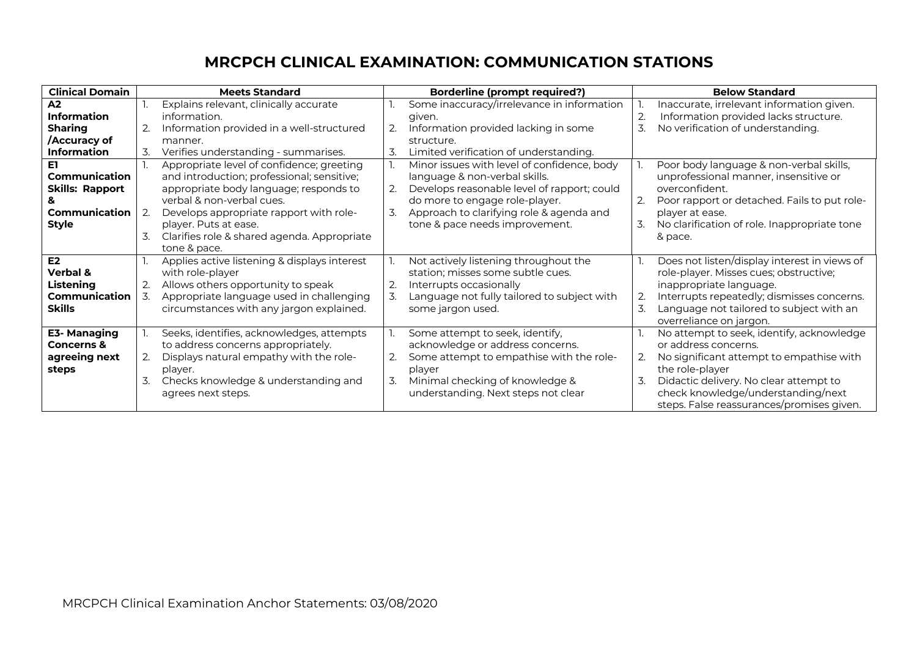## **MRCPCH CLINICAL EXAMINATION: COMMUNICATION STATIONS**

| <b>Clinical Domain</b> | <b>Meets Standard</b>                             | <b>Borderline (prompt required?)</b>              | <b>Below Standard</b>                          |
|------------------------|---------------------------------------------------|---------------------------------------------------|------------------------------------------------|
| A2                     | Explains relevant, clinically accurate            | Some inaccuracy/irrelevance in information        | Inaccurate, irrelevant information given.      |
| <b>Information</b>     | information.                                      | given.                                            | Information provided lacks structure.          |
| <b>Sharing</b>         | Information provided in a well-structured         | Information provided lacking in some<br>2.        | 3<br>No verification of understanding.         |
| Accuracy of            | manner.                                           | structure.                                        |                                                |
| <b>Information</b>     | Verifies understanding - summarises.<br>3.        | 3.<br>Limited verification of understanding.      |                                                |
| E1                     | Appropriate level of confidence; greeting         | Minor issues with level of confidence, body       | Poor body language & non-verbal skills,        |
| Communication          | and introduction; professional; sensitive;        | language & non-verbal skills.                     | unprofessional manner, insensitive or          |
| <b>Skills: Rapport</b> | appropriate body language; responds to            | 2.<br>Develops reasonable level of rapport; could | overconfident.                                 |
|                        | verbal & non-verbal cues.                         | do more to engage role-player.                    | Poor rapport or detached. Fails to put role-   |
| Communication          | Develops appropriate rapport with role-<br>2.     | Approach to clarifying role & agenda and<br>3.    | player at ease.                                |
| <b>Style</b>           | player. Puts at ease.                             | tone & pace needs improvement.                    | No clarification of role. Inappropriate tone   |
|                        | 3.<br>Clarifies role & shared agenda. Appropriate |                                                   | & pace.                                        |
|                        | tone & pace.                                      |                                                   |                                                |
| E2                     | Applies active listening & displays interest      | Not actively listening throughout the             | Does not listen/display interest in views of   |
| Verbal &               | with role-player                                  | station; misses some subtle cues.                 | role-player. Misses cues; obstructive;         |
| Listening              | Allows others opportunity to speak<br>2.          | 2.<br>Interrupts occasionally                     | inappropriate language.                        |
| Communication          | Appropriate language used in challenging<br>3.    | Language not fully tailored to subject with<br>3. | Interrupts repeatedly; dismisses concerns.     |
| <b>Skills</b>          | circumstances with any jargon explained.          | some jargon used.                                 | Language not tailored to subject with an<br>3. |
|                        |                                                   |                                                   | overreliance on jargon.                        |
| E3- Managing           | Seeks, identifies, acknowledges, attempts         | Some attempt to seek, identify,                   | No attempt to seek, identify, acknowledge      |
| <b>Concerns &amp;</b>  | to address concerns appropriately.                | acknowledge or address concerns.                  | or address concerns.                           |
| agreeing next          | Displays natural empathy with the role-           | Some attempt to empathise with the role-<br>2.    | No significant attempt to empathise with       |
| steps                  | player.                                           | player                                            | the role-player                                |
|                        | Checks knowledge & understanding and<br>3.        | Minimal checking of knowledge &<br>3.             | Didactic delivery. No clear attempt to         |
|                        | agrees next steps.                                | understanding. Next steps not clear               | check knowledge/understanding/next             |
|                        |                                                   |                                                   | steps. False reassurances/promises given.      |